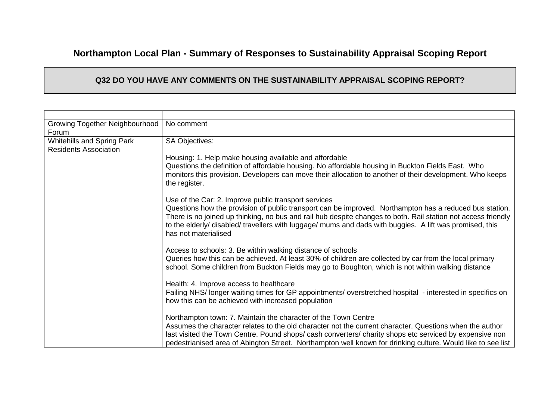## **Northampton Local Plan - Summary of Responses to Sustainability Appraisal Scoping Report**

## **Q32 DO YOU HAVE ANY COMMENTS ON THE SUSTAINABILITY APPRAISAL SCOPING REPORT?**

| Growing Together Neighbourhood<br>Forum                           | No comment                                                                                                                                                                                                                                                                                                                                                                                                           |
|-------------------------------------------------------------------|----------------------------------------------------------------------------------------------------------------------------------------------------------------------------------------------------------------------------------------------------------------------------------------------------------------------------------------------------------------------------------------------------------------------|
| <b>Whitehills and Spring Park</b><br><b>Residents Association</b> | <b>SA Objectives:</b>                                                                                                                                                                                                                                                                                                                                                                                                |
|                                                                   | Housing: 1. Help make housing available and affordable                                                                                                                                                                                                                                                                                                                                                               |
|                                                                   | Questions the definition of affordable housing. No affordable housing in Buckton Fields East. Who<br>monitors this provision. Developers can move their allocation to another of their development. Who keeps<br>the register.                                                                                                                                                                                       |
|                                                                   | Use of the Car: 2. Improve public transport services<br>Questions how the provision of public transport can be improved. Northampton has a reduced bus station.<br>There is no joined up thinking, no bus and rail hub despite changes to both. Rail station not access friendly<br>to the elderly/ disabled/ travellers with luggage/ mums and dads with buggies. A lift was promised, this<br>has not materialised |
|                                                                   | Access to schools: 3. Be within walking distance of schools<br>Queries how this can be achieved. At least 30% of children are collected by car from the local primary<br>school. Some children from Buckton Fields may go to Boughton, which is not within walking distance                                                                                                                                          |
|                                                                   | Health: 4. Improve access to healthcare<br>Failing NHS/ longer waiting times for GP appointments/ overstretched hospital - interested in specifics on<br>how this can be achieved with increased population                                                                                                                                                                                                          |
|                                                                   | Northampton town: 7. Maintain the character of the Town Centre<br>Assumes the character relates to the old character not the current character. Questions when the author<br>last visited the Town Centre. Pound shops/cash converters/charity shops etc serviced by expensive non                                                                                                                                   |
|                                                                   | pedestrianised area of Abington Street. Northampton well known for drinking culture. Would like to see list                                                                                                                                                                                                                                                                                                          |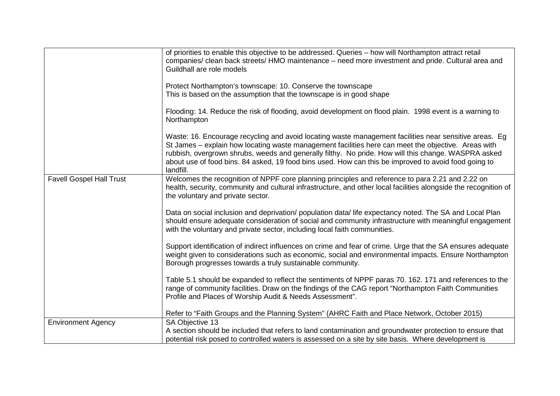|                                 | of priorities to enable this objective to be addressed. Queries - how will Northampton attract retail<br>companies/ clean back streets/ HMO maintenance - need more investment and pride. Cultural area and<br>Guildhall are role models<br>Protect Northampton's townscape: 10. Conserve the townscape<br>This is based on the assumption that the townscape is in good shape<br>Flooding: 14. Reduce the risk of flooding, avoid development on flood plain. 1998 event is a warning to<br>Northampton |
|---------------------------------|----------------------------------------------------------------------------------------------------------------------------------------------------------------------------------------------------------------------------------------------------------------------------------------------------------------------------------------------------------------------------------------------------------------------------------------------------------------------------------------------------------|
|                                 | Waste: 16. Encourage recycling and avoid locating waste management facilities near sensitive areas. Eg<br>St James – explain how locating waste management facilities here can meet the objective. Areas with<br>rubbish, overgrown shrubs, weeds and generally filthy. No pride. How will this change. WASPRA asked<br>about use of food bins. 84 asked, 19 food bins used. How can this be improved to avoid food going to<br>landfill.                                                                |
| <b>Favell Gospel Hall Trust</b> | Welcomes the recognition of NPPF core planning principles and reference to para 2.21 and 2.22 on<br>health, security, community and cultural infrastructure, and other local facilities alongside the recognition of<br>the voluntary and private sector.                                                                                                                                                                                                                                                |
|                                 | Data on social inclusion and deprivation/ population data/ life expectancy noted. The SA and Local Plan<br>should ensure adequate consideration of social and community infrastructure with meaningful engagement<br>with the voluntary and private sector, including local faith communities.                                                                                                                                                                                                           |
|                                 | Support identification of indirect influences on crime and fear of crime. Urge that the SA ensures adequate<br>weight given to considerations such as economic, social and environmental impacts. Ensure Northampton<br>Borough progresses towards a truly sustainable community.                                                                                                                                                                                                                        |
|                                 | Table 5.1 should be expanded to reflect the sentiments of NPPF paras 70. 162. 171 and references to the<br>range of community facilities. Draw on the findings of the CAG report "Northampton Faith Communities<br>Profile and Places of Worship Audit & Needs Assessment".                                                                                                                                                                                                                              |
|                                 | Refer to "Faith Groups and the Planning System" (AHRC Faith and Place Network, October 2015)                                                                                                                                                                                                                                                                                                                                                                                                             |
| <b>Environment Agency</b>       | SA Objective 13                                                                                                                                                                                                                                                                                                                                                                                                                                                                                          |
|                                 | A section should be included that refers to land contamination and groundwater protection to ensure that<br>potential risk posed to controlled waters is assessed on a site by site basis. Where development is                                                                                                                                                                                                                                                                                          |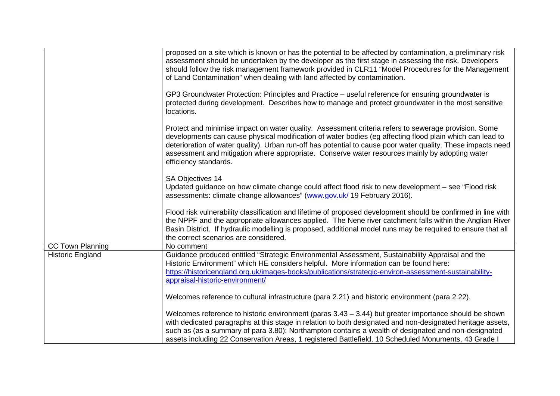|                         | proposed on a site which is known or has the potential to be affected by contamination, a preliminary risk<br>assessment should be undertaken by the developer as the first stage in assessing the risk. Developers<br>should follow the risk management framework provided in CLR11 "Model Procedures for the Management<br>of Land Contamination" when dealing with land affected by contamination.                                                       |
|-------------------------|-------------------------------------------------------------------------------------------------------------------------------------------------------------------------------------------------------------------------------------------------------------------------------------------------------------------------------------------------------------------------------------------------------------------------------------------------------------|
|                         | GP3 Groundwater Protection: Principles and Practice – useful reference for ensuring groundwater is<br>protected during development. Describes how to manage and protect groundwater in the most sensitive<br>locations.                                                                                                                                                                                                                                     |
|                         | Protect and minimise impact on water quality. Assessment criteria refers to sewerage provision. Some<br>developments can cause physical modification of water bodies (eg affecting flood plain which can lead to<br>deterioration of water quality). Urban run-off has potential to cause poor water quality. These impacts need<br>assessment and mitigation where appropriate. Conserve water resources mainly by adopting water<br>efficiency standards. |
|                         | SA Objectives 14<br>Updated guidance on how climate change could affect flood risk to new development – see "Flood risk<br>assessments: climate change allowances" (www.gov.uk/ 19 February 2016).                                                                                                                                                                                                                                                          |
|                         | Flood risk vulnerability classification and lifetime of proposed development should be confirmed in line with<br>the NPPF and the appropriate allowances applied. The Nene river catchment falls within the Anglian River<br>Basin District. If hydraulic modelling is proposed, additional model runs may be required to ensure that all<br>the correct scenarios are considered.                                                                          |
| <b>CC Town Planning</b> | No comment                                                                                                                                                                                                                                                                                                                                                                                                                                                  |
| Historic England        | Guidance produced entitled "Strategic Environmental Assessment, Sustainability Appraisal and the<br>Historic Environment" which HE considers helpful. More information can be found here:<br>https://historicengland.org.uk/images-books/publications/strategic-environ-assessment-sustainability-<br>appraisal-historic-environment/                                                                                                                       |
|                         | Welcomes reference to cultural infrastructure (para 2.21) and historic environment (para 2.22).                                                                                                                                                                                                                                                                                                                                                             |
|                         | Welcomes reference to historic environment (paras $3.43 - 3.44$ ) but greater importance should be shown<br>with dedicated paragraphs at this stage in relation to both designated and non-designated heritage assets,<br>such as (as a summary of para 3.80): Northampton contains a wealth of designated and non-designated<br>assets including 22 Conservation Areas, 1 registered Battlefield, 10 Scheduled Monuments, 43 Grade I                       |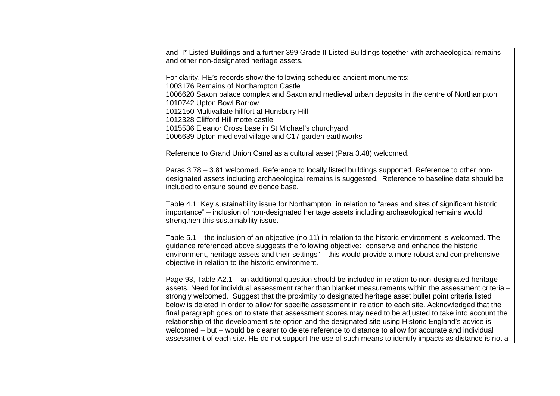| and II* Listed Buildings and a further 399 Grade II Listed Buildings together with archaeological remains<br>and other non-designated heritage assets.                                                                                                                                                                                                                                                                                      |
|---------------------------------------------------------------------------------------------------------------------------------------------------------------------------------------------------------------------------------------------------------------------------------------------------------------------------------------------------------------------------------------------------------------------------------------------|
| For clarity, HE's records show the following scheduled ancient monuments:<br>1003176 Remains of Northampton Castle                                                                                                                                                                                                                                                                                                                          |
| 1006620 Saxon palace complex and Saxon and medieval urban deposits in the centre of Northampton<br>1010742 Upton Bowl Barrow                                                                                                                                                                                                                                                                                                                |
| 1012150 Multivallate hillfort at Hunsbury Hill<br>1012328 Clifford Hill motte castle                                                                                                                                                                                                                                                                                                                                                        |
| 1015536 Eleanor Cross base in St Michael's churchyard<br>1006639 Upton medieval village and C17 garden earthworks                                                                                                                                                                                                                                                                                                                           |
| Reference to Grand Union Canal as a cultural asset (Para 3.48) welcomed.                                                                                                                                                                                                                                                                                                                                                                    |
| Paras 3.78 - 3.81 welcomed. Reference to locally listed buildings supported. Reference to other non-<br>designated assets including archaeological remains is suggested. Reference to baseline data should be<br>included to ensure sound evidence base.                                                                                                                                                                                    |
| Table 4.1 "Key sustainability issue for Northampton" in relation to "areas and sites of significant historic<br>importance" – inclusion of non-designated heritage assets including archaeological remains would<br>strengthen this sustainability issue.                                                                                                                                                                                   |
| Table 5.1 – the inclusion of an objective (no 11) in relation to the historic environment is welcomed. The<br>guidance referenced above suggests the following objective: "conserve and enhance the historic<br>environment, heritage assets and their settings" – this would provide a more robust and comprehensive<br>objective in relation to the historic environment.                                                                 |
| Page 93, Table A2.1 – an additional question should be included in relation to non-designated heritage<br>assets. Need for individual assessment rather than blanket measurements within the assessment criteria -<br>strongly welcomed. Suggest that the proximity to designated heritage asset bullet point criteria listed<br>below is deleted in order to allow for specific assessment in relation to each site. Acknowledged that the |
| final paragraph goes on to state that assessment scores may need to be adjusted to take into account the<br>relationship of the development site option and the designated site using Historic England's advice is                                                                                                                                                                                                                          |
| welcomed – but – would be clearer to delete reference to distance to allow for accurate and individual<br>assessment of each site. HE do not support the use of such means to identify impacts as distance is not a                                                                                                                                                                                                                         |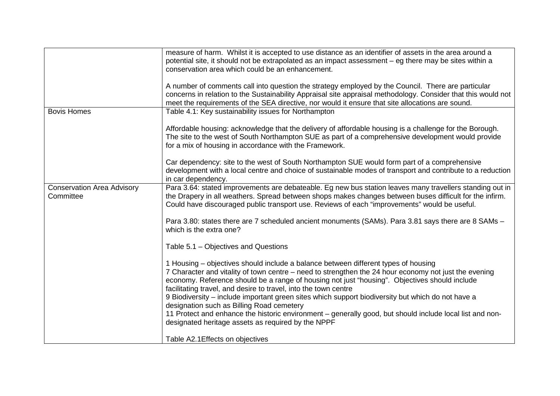|                                                | measure of harm. Whilst it is accepted to use distance as an identifier of assets in the area around a<br>potential site, it should not be extrapolated as an impact assessment - eg there may be sites within a                                                                                                                                                                                                                                                                                                                                                                                                                                                                    |
|------------------------------------------------|-------------------------------------------------------------------------------------------------------------------------------------------------------------------------------------------------------------------------------------------------------------------------------------------------------------------------------------------------------------------------------------------------------------------------------------------------------------------------------------------------------------------------------------------------------------------------------------------------------------------------------------------------------------------------------------|
|                                                | conservation area which could be an enhancement.                                                                                                                                                                                                                                                                                                                                                                                                                                                                                                                                                                                                                                    |
|                                                | A number of comments call into question the strategy employed by the Council. There are particular<br>concerns in relation to the Sustainability Appraisal site appraisal methodology. Consider that this would not<br>meet the requirements of the SEA directive, nor would it ensure that site allocations are sound.                                                                                                                                                                                                                                                                                                                                                             |
| <b>Bovis Homes</b>                             | Table 4.1: Key sustainability issues for Northampton                                                                                                                                                                                                                                                                                                                                                                                                                                                                                                                                                                                                                                |
|                                                | Affordable housing: acknowledge that the delivery of affordable housing is a challenge for the Borough.<br>The site to the west of South Northampton SUE as part of a comprehensive development would provide<br>for a mix of housing in accordance with the Framework.                                                                                                                                                                                                                                                                                                                                                                                                             |
|                                                | Car dependency: site to the west of South Northampton SUE would form part of a comprehensive<br>development with a local centre and choice of sustainable modes of transport and contribute to a reduction<br>in car dependency.                                                                                                                                                                                                                                                                                                                                                                                                                                                    |
| <b>Conservation Area Advisory</b><br>Committee | Para 3.64: stated improvements are debateable. Eg new bus station leaves many travellers standing out in<br>the Drapery in all weathers. Spread between shops makes changes between buses difficult for the infirm.<br>Could have discouraged public transport use. Reviews of each "improvements" would be useful.                                                                                                                                                                                                                                                                                                                                                                 |
|                                                | Para 3.80: states there are 7 scheduled ancient monuments (SAMs). Para 3.81 says there are 8 SAMs -<br>which is the extra one?                                                                                                                                                                                                                                                                                                                                                                                                                                                                                                                                                      |
|                                                | Table 5.1 – Objectives and Questions                                                                                                                                                                                                                                                                                                                                                                                                                                                                                                                                                                                                                                                |
|                                                | 1 Housing – objectives should include a balance between different types of housing<br>7 Character and vitality of town centre - need to strengthen the 24 hour economy not just the evening<br>economy. Reference should be a range of housing not just "housing". Objectives should include<br>facilitating travel, and desire to travel, into the town centre<br>9 Biodiversity – include important green sites which support biodiversity but which do not have a<br>designation such as Billing Road cemetery<br>11 Protect and enhance the historic environment - generally good, but should include local list and non-<br>designated heritage assets as required by the NPPF |
|                                                | Table A2.1 Effects on objectives                                                                                                                                                                                                                                                                                                                                                                                                                                                                                                                                                                                                                                                    |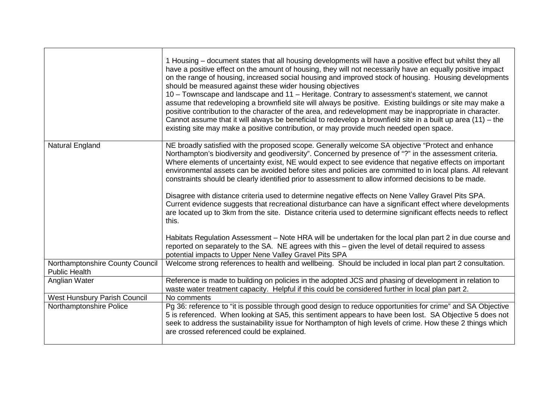|                                                         | 1 Housing – document states that all housing developments will have a positive effect but whilst they all<br>have a positive effect on the amount of housing, they will not necessarily have an equally positive impact<br>on the range of housing, increased social housing and improved stock of housing. Housing developments<br>should be measured against these wider housing objectives<br>10 – Townscape and landscape and 11 – Heritage. Contrary to assessment's statement, we cannot<br>assume that redeveloping a brownfield site will always be positive. Existing buildings or site may make a<br>positive contribution to the character of the area, and redevelopment may be inappropriate in character.<br>Cannot assume that it will always be beneficial to redevelop a brownfield site in a built up area (11) - the<br>existing site may make a positive contribution, or may provide much needed open space. |
|---------------------------------------------------------|-----------------------------------------------------------------------------------------------------------------------------------------------------------------------------------------------------------------------------------------------------------------------------------------------------------------------------------------------------------------------------------------------------------------------------------------------------------------------------------------------------------------------------------------------------------------------------------------------------------------------------------------------------------------------------------------------------------------------------------------------------------------------------------------------------------------------------------------------------------------------------------------------------------------------------------|
| Natural England                                         | NE broadly satisfied with the proposed scope. Generally welcome SA objective "Protect and enhance<br>Northampton's biodiversity and geodiversity". Concerned by presence of "?" in the assessment criteria.<br>Where elements of uncertainty exist, NE would expect to see evidence that negative effects on important<br>environmental assets can be avoided before sites and policies are committed to in local plans. All relevant<br>constraints should be clearly identified prior to assessment to allow informed decisions to be made.<br>Disagree with distance criteria used to determine negative effects on Nene Valley Gravel Pits SPA.<br>Current evidence suggests that recreational disturbance can have a significant effect where developments<br>are located up to 3km from the site. Distance criteria used to determine significant effects needs to reflect<br>this.                                         |
|                                                         | Habitats Regulation Assessment - Note HRA will be undertaken for the local plan part 2 in due course and<br>reported on separately to the SA. NE agrees with this – given the level of detail required to assess<br>potential impacts to Upper Nene Valley Gravel Pits SPA                                                                                                                                                                                                                                                                                                                                                                                                                                                                                                                                                                                                                                                        |
| Northamptonshire County Council<br><b>Public Health</b> | Welcome strong references to health and wellbeing. Should be included in local plan part 2 consultation.                                                                                                                                                                                                                                                                                                                                                                                                                                                                                                                                                                                                                                                                                                                                                                                                                          |
| Anglian Water                                           | Reference is made to building on policies in the adopted JCS and phasing of development in relation to<br>waste water treatment capacity. Helpful if this could be considered further in local plan part 2.                                                                                                                                                                                                                                                                                                                                                                                                                                                                                                                                                                                                                                                                                                                       |
| <b>West Hunsbury Parish Council</b>                     | No comments                                                                                                                                                                                                                                                                                                                                                                                                                                                                                                                                                                                                                                                                                                                                                                                                                                                                                                                       |
| Northamptonshire Police                                 | Pg 36: reference to "it is possible through good design to reduce opportunities for crime" and SA Objective<br>5 is referenced. When looking at SA5, this sentiment appears to have been lost. SA Objective 5 does not<br>seek to address the sustainability issue for Northampton of high levels of crime. How these 2 things which<br>are crossed referenced could be explained.                                                                                                                                                                                                                                                                                                                                                                                                                                                                                                                                                |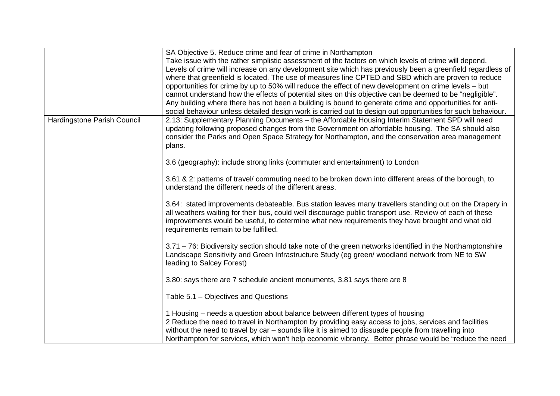|                             | SA Objective 5. Reduce crime and fear of crime in Northampton                                               |
|-----------------------------|-------------------------------------------------------------------------------------------------------------|
|                             | Take issue with the rather simplistic assessment of the factors on which levels of crime will depend.       |
|                             | Levels of crime will increase on any development site which has previously been a greenfield regardless of  |
|                             | where that greenfield is located. The use of measures line CPTED and SBD which are proven to reduce         |
|                             | opportunities for crime by up to 50% will reduce the effect of new development on crime levels – but        |
|                             | cannot understand how the effects of potential sites on this objective can be deemed to be "negligible".    |
|                             | Any building where there has not been a building is bound to generate crime and opportunities for anti-     |
|                             |                                                                                                             |
|                             | social behaviour unless detailed design work is carried out to design out opportunities for such behaviour. |
| Hardingstone Parish Council | 2.13: Supplementary Planning Documents - the Affordable Housing Interim Statement SPD will need             |
|                             | updating following proposed changes from the Government on affordable housing. The SA should also           |
|                             | consider the Parks and Open Space Strategy for Northampton, and the conservation area management            |
|                             | plans.                                                                                                      |
|                             | 3.6 (geography): include strong links (commuter and entertainment) to London                                |
|                             |                                                                                                             |
|                             | 3.61 & 2: patterns of travel/ commuting need to be broken down into different areas of the borough, to      |
|                             | understand the different needs of the different areas.                                                      |
|                             |                                                                                                             |
|                             | 3.64: stated improvements debateable. Bus station leaves many travellers standing out on the Drapery in     |
|                             | all weathers waiting for their bus, could well discourage public transport use. Review of each of these     |
|                             | improvements would be useful, to determine what new requirements they have brought and what old             |
|                             | requirements remain to be fulfilled.                                                                        |
|                             |                                                                                                             |
|                             | 3.71 - 76: Biodiversity section should take note of the green networks identified in the Northamptonshire   |
|                             | Landscape Sensitivity and Green Infrastructure Study (eg green/ woodland network from NE to SW              |
|                             | leading to Salcey Forest)                                                                                   |
|                             |                                                                                                             |
|                             | 3.80: says there are 7 schedule ancient monuments, 3.81 says there are 8                                    |
|                             |                                                                                                             |
|                             | Table 5.1 – Objectives and Questions                                                                        |
|                             |                                                                                                             |
|                             | 1 Housing – needs a question about balance between different types of housing                               |
|                             | 2 Reduce the need to travel in Northampton by providing easy access to jobs, services and facilities        |
|                             | without the need to travel by car – sounds like it is aimed to dissuade people from travelling into         |
|                             | Northampton for services, which won't help economic vibrancy. Better phrase would be "reduce the need       |
|                             |                                                                                                             |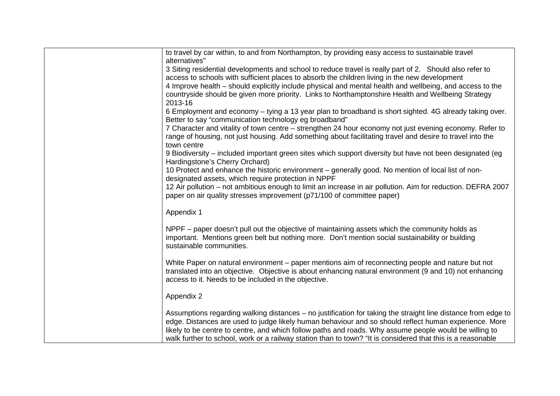| alternatives"<br>2013-16                             | to travel by car within, to and from Northampton, by providing easy access to sustainable travel<br>3 Siting residential developments and school to reduce travel is really part of 2. Should also refer to<br>access to schools with sufficient places to absorb the children living in the new development<br>4 Improve health – should explicitly include physical and mental health and wellbeing, and access to the<br>countryside should be given more priority. Links to Northamptonshire Health and Wellbeing Strategy<br>6 Employment and economy – tying a 13 year plan to broadband is short sighted. 4G already taking over.<br>Better to say "communication technology eg broadband" |
|------------------------------------------------------|---------------------------------------------------------------------------------------------------------------------------------------------------------------------------------------------------------------------------------------------------------------------------------------------------------------------------------------------------------------------------------------------------------------------------------------------------------------------------------------------------------------------------------------------------------------------------------------------------------------------------------------------------------------------------------------------------|
|                                                      |                                                                                                                                                                                                                                                                                                                                                                                                                                                                                                                                                                                                                                                                                                   |
|                                                      |                                                                                                                                                                                                                                                                                                                                                                                                                                                                                                                                                                                                                                                                                                   |
|                                                      |                                                                                                                                                                                                                                                                                                                                                                                                                                                                                                                                                                                                                                                                                                   |
|                                                      |                                                                                                                                                                                                                                                                                                                                                                                                                                                                                                                                                                                                                                                                                                   |
|                                                      |                                                                                                                                                                                                                                                                                                                                                                                                                                                                                                                                                                                                                                                                                                   |
|                                                      |                                                                                                                                                                                                                                                                                                                                                                                                                                                                                                                                                                                                                                                                                                   |
|                                                      |                                                                                                                                                                                                                                                                                                                                                                                                                                                                                                                                                                                                                                                                                                   |
|                                                      | 7 Character and vitality of town centre – strengthen 24 hour economy not just evening economy. Refer to                                                                                                                                                                                                                                                                                                                                                                                                                                                                                                                                                                                           |
| town centre                                          | range of housing, not just housing. Add something about facilitating travel and desire to travel into the                                                                                                                                                                                                                                                                                                                                                                                                                                                                                                                                                                                         |
| Hardingstone's Cherry Orchard)                       | 9 Biodiversity – included important green sites which support diversity but have not been designated (eg                                                                                                                                                                                                                                                                                                                                                                                                                                                                                                                                                                                          |
|                                                      | 10 Protect and enhance the historic environment - generally good. No mention of local list of non-                                                                                                                                                                                                                                                                                                                                                                                                                                                                                                                                                                                                |
|                                                      | designated assets, which require protection in NPPF                                                                                                                                                                                                                                                                                                                                                                                                                                                                                                                                                                                                                                               |
|                                                      | 12 Air pollution – not ambitious enough to limit an increase in air pollution. Aim for reduction. DEFRA 2007                                                                                                                                                                                                                                                                                                                                                                                                                                                                                                                                                                                      |
|                                                      | paper on air quality stresses improvement (p71/100 of committee paper)                                                                                                                                                                                                                                                                                                                                                                                                                                                                                                                                                                                                                            |
| Appendix 1                                           |                                                                                                                                                                                                                                                                                                                                                                                                                                                                                                                                                                                                                                                                                                   |
|                                                      |                                                                                                                                                                                                                                                                                                                                                                                                                                                                                                                                                                                                                                                                                                   |
| sustainable communities.                             | NPPF – paper doesn't pull out the objective of maintaining assets which the community holds as<br>important. Mentions green belt but nothing more. Don't mention social sustainability or building                                                                                                                                                                                                                                                                                                                                                                                                                                                                                                |
|                                                      |                                                                                                                                                                                                                                                                                                                                                                                                                                                                                                                                                                                                                                                                                                   |
|                                                      | White Paper on natural environment – paper mentions aim of reconnecting people and nature but not<br>translated into an objective. Objective is about enhancing natural environment (9 and 10) not enhancing                                                                                                                                                                                                                                                                                                                                                                                                                                                                                      |
| access to it. Needs to be included in the objective. |                                                                                                                                                                                                                                                                                                                                                                                                                                                                                                                                                                                                                                                                                                   |
| Appendix 2                                           |                                                                                                                                                                                                                                                                                                                                                                                                                                                                                                                                                                                                                                                                                                   |
|                                                      | Assumptions regarding walking distances – no justification for taking the straight line distance from edge to<br>edge. Distances are used to judge likely human behaviour and so should reflect human experience. More<br>likely to be centre to centre, and which follow paths and roads. Why assume people would be willing to<br>walk further to school, work or a railway station than to town? "It is considered that this is a reasonable                                                                                                                                                                                                                                                   |